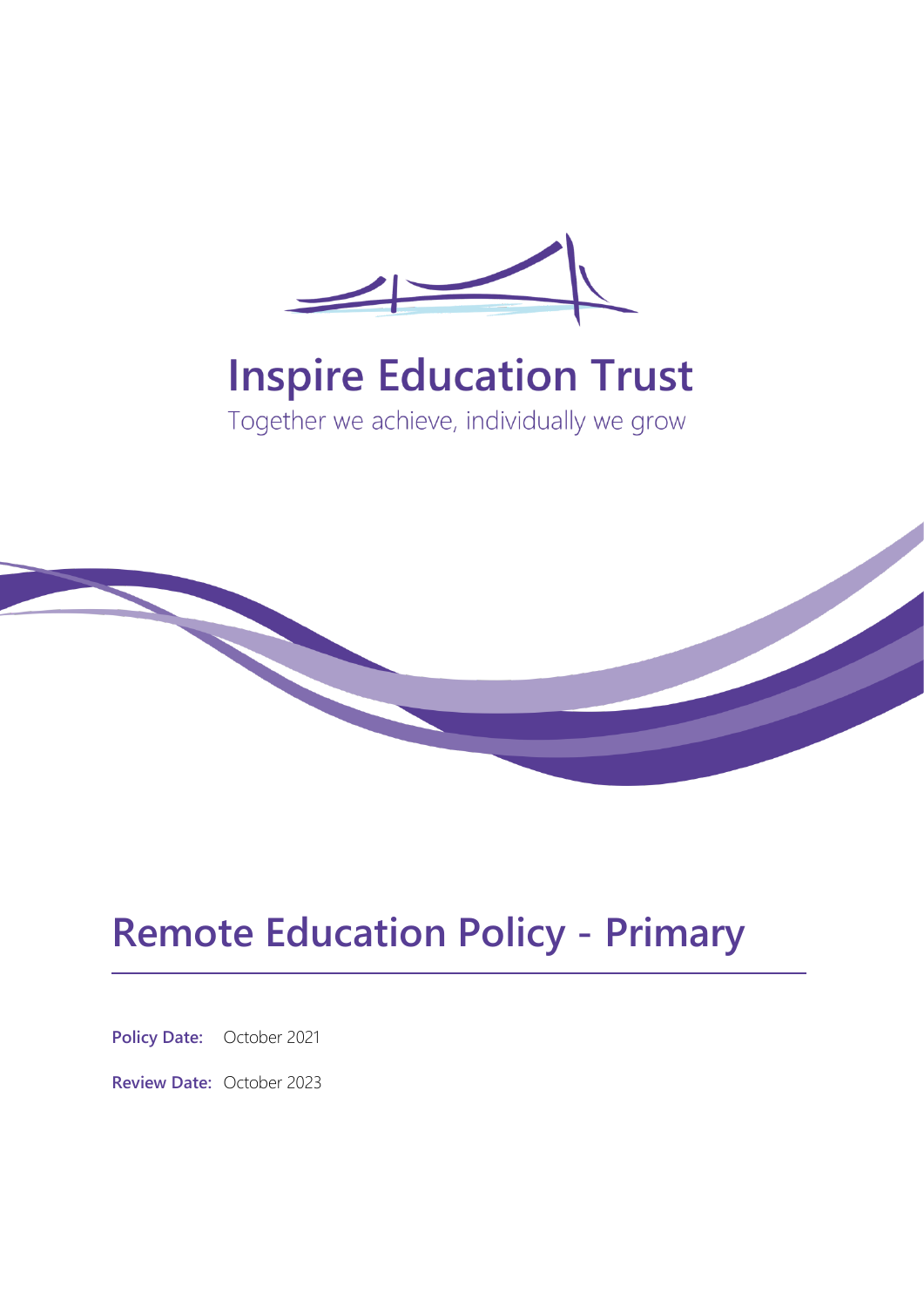

# **Inspire Education Trust**

Together we achieve, individually we grow



## **Remote Education Policy - Primary**

**Policy Date:** October 2021

**Review Date:** October 2023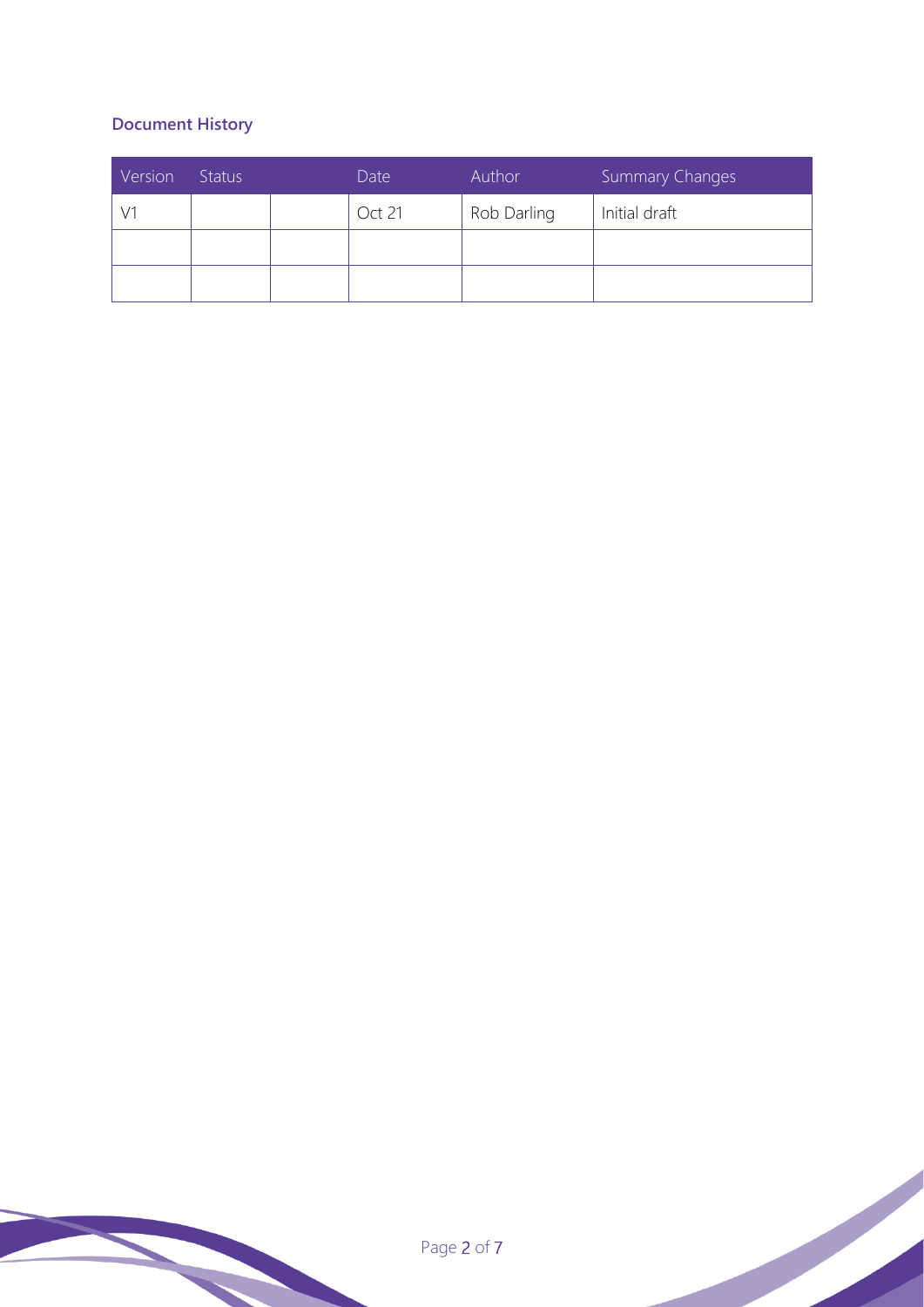### **Document History**

| Version | Status | Date   | Author      | Summary Changes |
|---------|--------|--------|-------------|-----------------|
|         |        | Oct 21 | Rob Darling | Initial draft   |
|         |        |        |             |                 |
|         |        |        |             |                 |

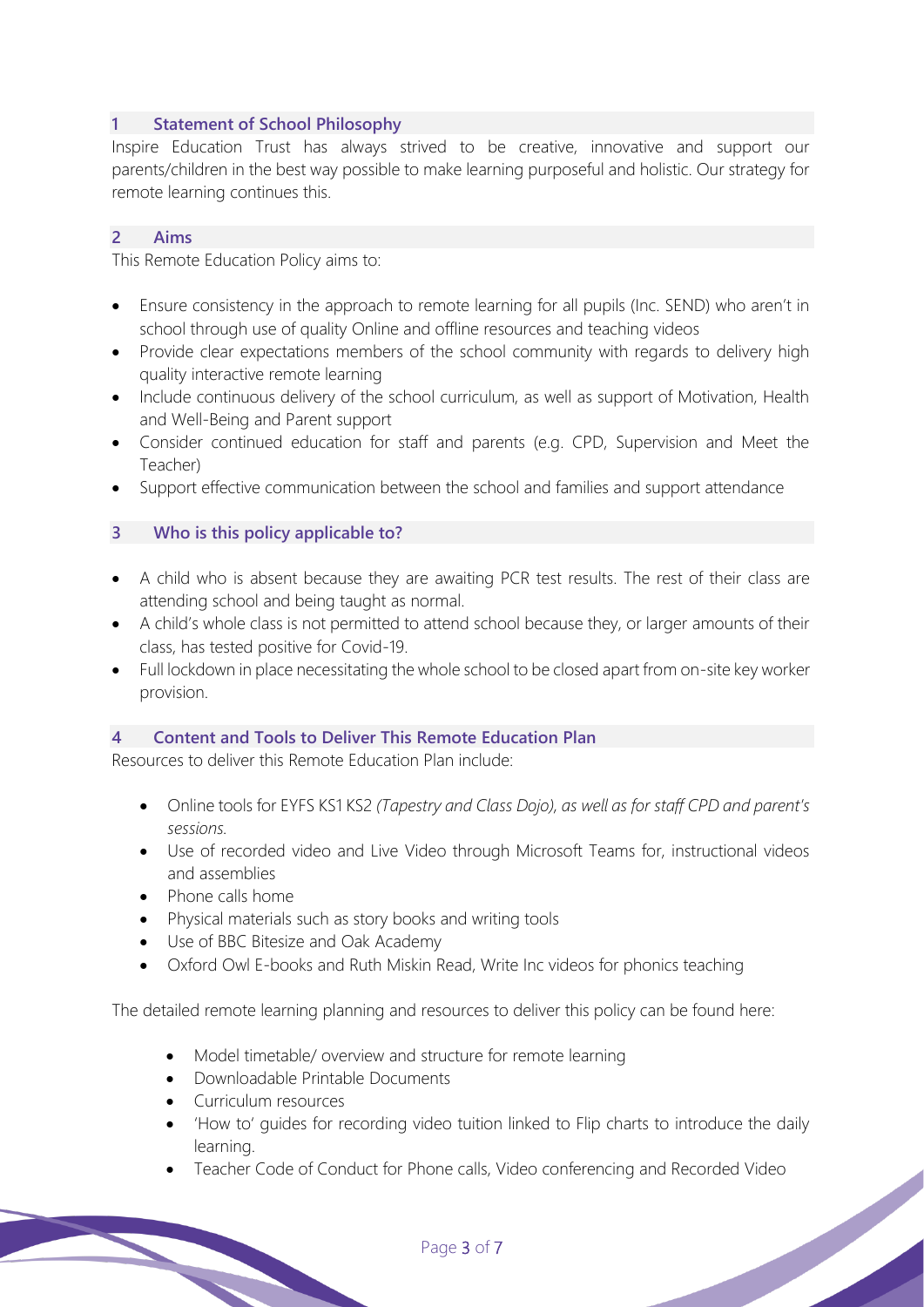#### **1 Statement of School Philosophy**

Inspire Education Trust has always strived to be creative, innovative and support our parents/children in the best way possible to make learning purposeful and holistic. Our strategy for remote learning continues this.

#### **2 Aims**

This Remote Education Policy aims to:

- Ensure consistency in the approach to remote learning for all pupils (Inc. SEND) who aren't in school through use of quality Online and offline resources and teaching videos
- Provide clear expectations members of the school community with regards to delivery high quality interactive remote learning
- Include continuous delivery of the school curriculum, as well as support of Motivation, Health and Well-Being and Parent support
- Consider continued education for staff and parents (e.g. CPD, Supervision and Meet the Teacher)
- Support effective communication between the school and families and support attendance

#### **3 Who is this policy applicable to?**

- A child who is absent because they are awaiting PCR test results. The rest of their class are attending school and being taught as normal.
- A child's whole class is not permitted to attend school because they, or larger amounts of their class, has tested positive for Covid-19.
- Full lockdown in place necessitating the whole school to be closed apart from on-site key worker provision.

#### **4 Content and Tools to Deliver This Remote Education Plan**

Resources to deliver this Remote Education Plan include:

- Online tools for EYFS KS1 KS2 *(Tapestry and Class Dojo), as well as for staff CPD and parent's sessions.*
- Use of recorded video and Live Video through Microsoft Teams for, instructional videos and assemblies
- Phone calls home
- Physical materials such as story books and writing tools
- Use of BBC Bitesize and Oak Academy
- Oxford Owl E-books and Ruth Miskin Read, Write Inc videos for phonics teaching

The detailed remote learning planning and resources to deliver this policy can be found here:

- Model timetable/ overview and structure for remote learning
- Downloadable Printable Documents
- Curriculum resources
- 'How to' guides for recording video tuition linked to Flip charts to introduce the daily learning.
- Teacher Code of Conduct for Phone calls, Video conferencing and Recorded Video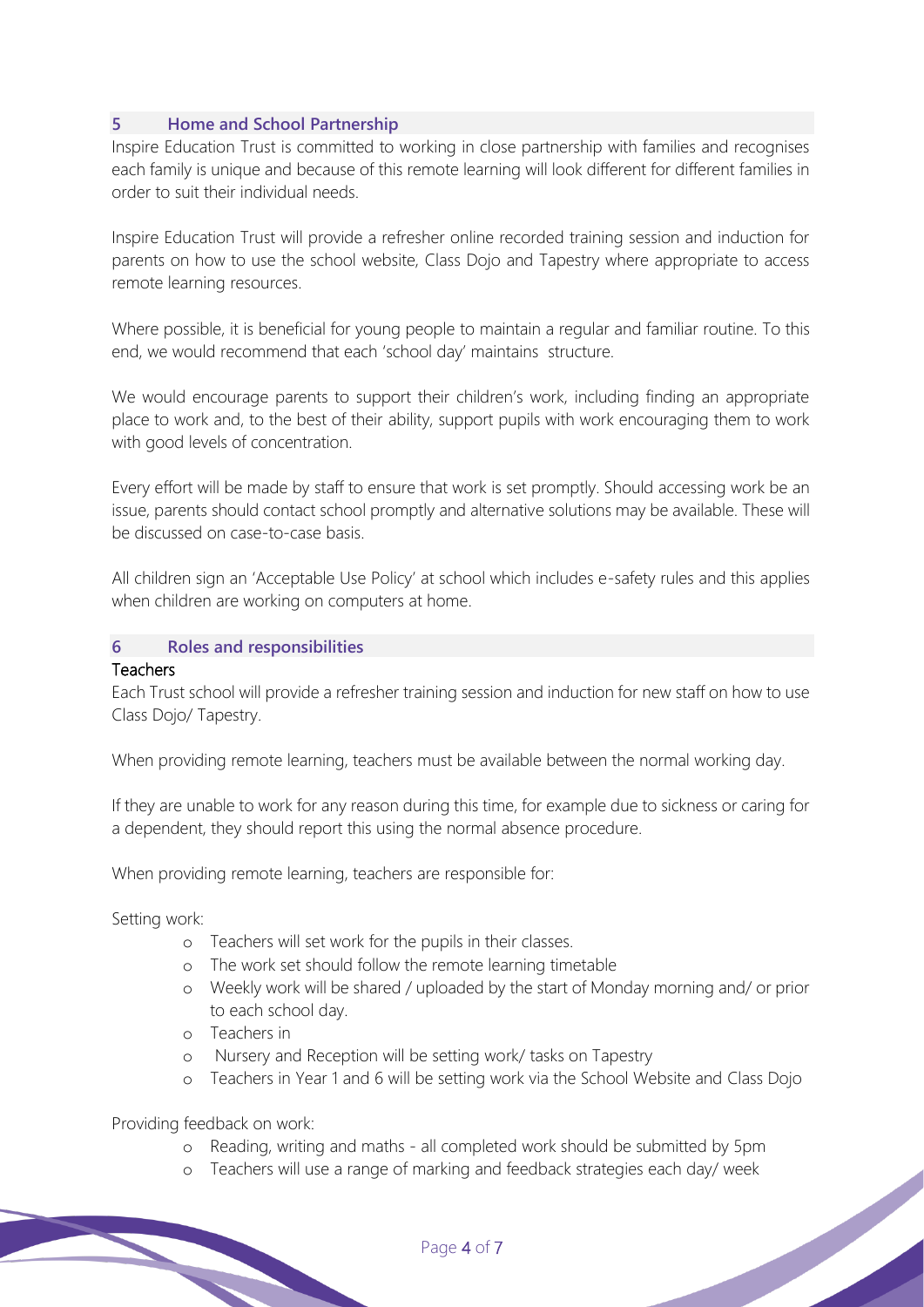#### **5 Home and School Partnership**

Inspire Education Trust is committed to working in close partnership with families and recognises each family is unique and because of this remote learning will look different for different families in order to suit their individual needs.

Inspire Education Trust will provide a refresher online recorded training session and induction for parents on how to use the school website, Class Dojo and Tapestry where appropriate to access remote learning resources.

Where possible, it is beneficial for young people to maintain a regular and familiar routine. To this end, we would recommend that each 'school day' maintains structure.

We would encourage parents to support their children's work, including finding an appropriate place to work and, to the best of their ability, support pupils with work encouraging them to work with good levels of concentration.

Every effort will be made by staff to ensure that work is set promptly. Should accessing work be an issue, parents should contact school promptly and alternative solutions may be available. These will be discussed on case-to-case basis.

All children sign an 'Acceptable Use Policy' at school which includes e-safety rules and this applies when children are working on computers at home.

#### **6 Roles and responsibilities**

#### **Teachers**

Each Trust school will provide a refresher training session and induction for new staff on how to use Class Dojo/ Tapestry.

When providing remote learning, teachers must be available between the normal working day.

If they are unable to work for any reason during this time, for example due to sickness or caring for a dependent, they should report this using the normal absence procedure.

When providing remote learning, teachers are responsible for:

Setting work:

- o Teachers will set work for the pupils in their classes.
- o The work set should follow the remote learning timetable
- o Weekly work will be shared / uploaded by the start of Monday morning and/ or prior to each school day.
- o Teachers in
- o Nursery and Reception will be setting work/ tasks on Tapestry
- o Teachers in Year 1 and 6 will be setting work via the School Website and Class Dojo

Providing feedback on work:

- o Reading, writing and maths all completed work should be submitted by 5pm
- o Teachers will use a range of marking and feedback strategies each day/ week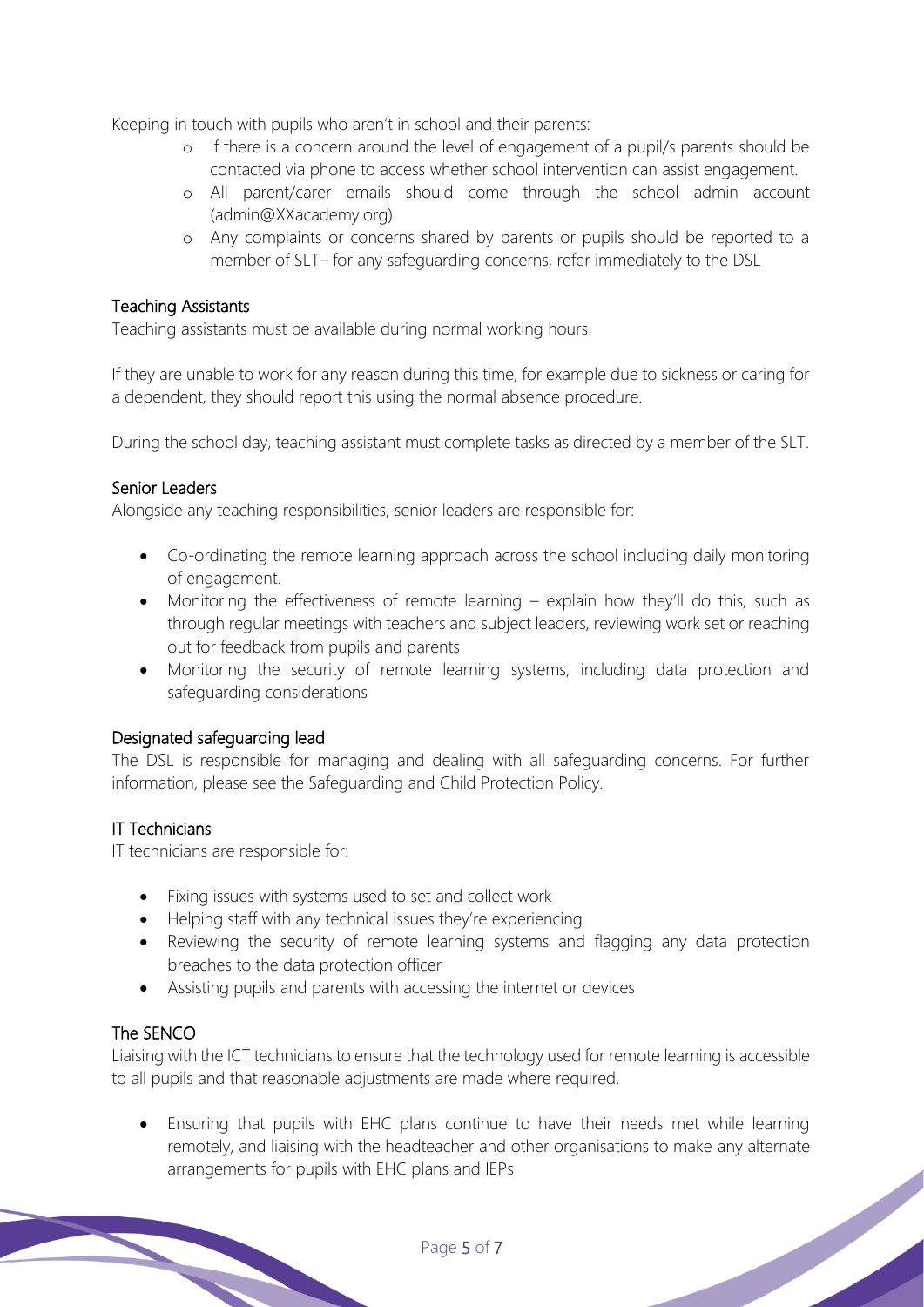Keeping in touch with pupils who aren't in school and their parents:

- o If there is a concern around the level of engagement of a pupil/s parents should be contacted via phone to access whether school intervention can assist engagement.
- o All parent/carer emails should come through the school admin account (admin@XXacademy.org)
- o Any complaints or concerns shared by parents or pupils should be reported to a member of SLT– for any safeguarding concerns, refer immediately to the DSL

#### Teaching Assistants

Teaching assistants must be available during normal working hours.

If they are unable to work for any reason during this time, for example due to sickness or caring for a dependent, they should report this using the normal absence procedure.

During the school day, teaching assistant must complete tasks as directed by a member of the SLT.

#### Senior Leaders

Alongside any teaching responsibilities, senior leaders are responsible for:

- Co-ordinating the remote learning approach across the school including daily monitoring of engagement.
- Monitoring the effectiveness of remote learning explain how they'll do this, such as through regular meetings with teachers and subject leaders, reviewing work set or reaching out for feedback from pupils and parents
- Monitoring the security of remote learning systems, including data protection and safeguarding considerations

#### Designated safeguarding lead

The DSL is responsible for managing and dealing with all safeguarding concerns. For further information, please see the Safeguarding and Child Protection Policy.

#### IT Technicians

IT technicians are responsible for:

- Fixing issues with systems used to set and collect work
- Helping staff with any technical issues they're experiencing
- Reviewing the security of remote learning systems and flagging any data protection breaches to the data protection officer
- Assisting pupils and parents with accessing the internet or devices

#### The SENCO

Liaising with the ICT technicians to ensure that the technology used for remote learning is accessible to all pupils and that reasonable adjustments are made where required.

• Ensuring that pupils with EHC plans continue to have their needs met while learning remotely, and liaising with the headteacher and other organisations to make any alternate arrangements for pupils with EHC plans and IEPs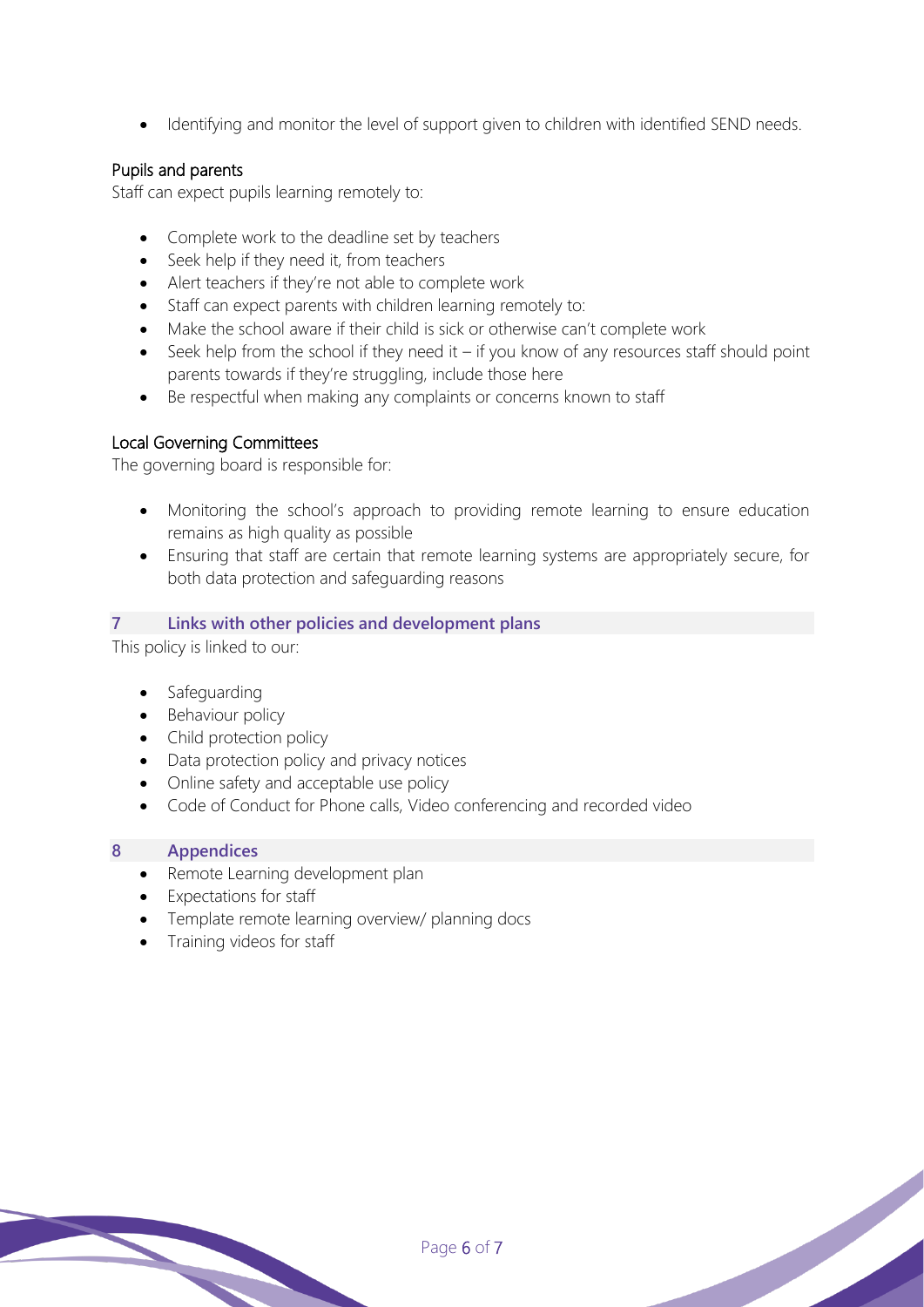• Identifying and monitor the level of support given to children with identified SEND needs.

#### Pupils and parents

Staff can expect pupils learning remotely to:

- Complete work to the deadline set by teachers
- Seek help if they need it, from teachers
- Alert teachers if they're not able to complete work
- Staff can expect parents with children learning remotely to:
- Make the school aware if their child is sick or otherwise can't complete work
- Seek help from the school if they need it  $-$  if you know of any resources staff should point parents towards if they're struggling, include those here
- Be respectful when making any complaints or concerns known to staff

#### Local Governing Committees

The governing board is responsible for:

- Monitoring the school's approach to providing remote learning to ensure education remains as high quality as possible
- Ensuring that staff are certain that remote learning systems are appropriately secure, for both data protection and safeguarding reasons

#### **7 Links with other policies and development plans**

This policy is linked to our:

- **Safeguarding**
- Behaviour policy
- Child protection policy
- Data protection policy and privacy notices
- Online safety and acceptable use policy
- Code of Conduct for Phone calls, Video conferencing and recorded video

#### **8 Appendices**

- Remote Learning development plan
- Expectations for staff
- Template remote learning overview/ planning docs
- Training videos for staff